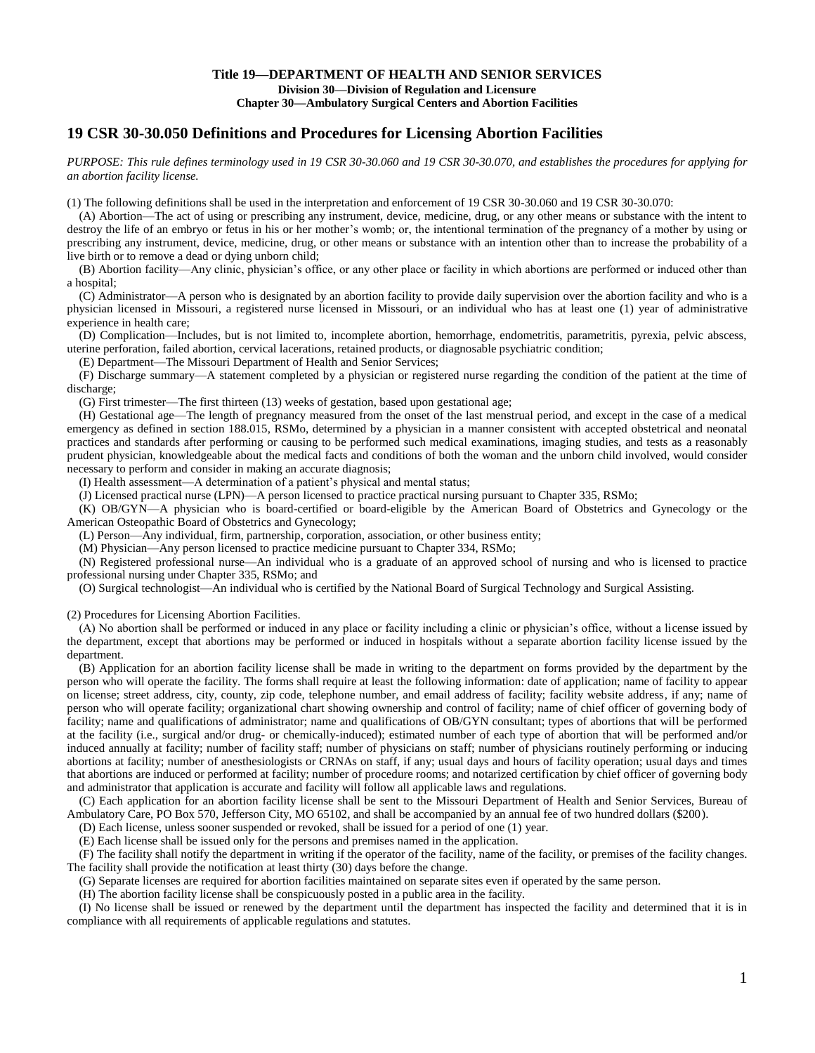# **19 CSR 30-30.050 Definitions and Procedures for Licensing Abortion Facilities**

*PURPOSE: This rule defines terminology used in 19 CSR 30-30.060 and 19 CSR 30-30.070, and establishes the procedures for applying for an abortion facility license.* 

(1) The following definitions shall be used in the interpretation and enforcement of 19 CSR 30-30.060 and 19 CSR 30-30.070:

(A) Abortion—The act of using or prescribing any instrument, device, medicine, drug, or any other means or substance with the intent to destroy the life of an embryo or fetus in his or her mother's womb; or, the intentional termination of the pregnancy of a mother by using or prescribing any instrument, device, medicine, drug, or other means or substance with an intention other than to increase the probability of a live birth or to remove a dead or dying unborn child;

(B) Abortion facility—Any clinic, physician's office, or any other place or facility in which abortions are performed or induced other than a hospital;

(C) Administrator—A person who is designated by an abortion facility to provide daily supervision over the abortion facility and who is a physician licensed in Missouri, a registered nurse licensed in Missouri, or an individual who has at least one (1) year of administrative experience in health care;

(D) Complication—Includes, but is not limited to, incomplete abortion, hemorrhage, endometritis, parametritis, pyrexia, pelvic abscess, uterine perforation, failed abortion, cervical lacerations, retained products, or diagnosable psychiatric condition;

(E) Department—The Missouri Department of Health and Senior Services;

(F) Discharge summary—A statement completed by a physician or registered nurse regarding the condition of the patient at the time of discharge;

(G) First trimester—The first thirteen (13) weeks of gestation, based upon gestational age;

(H) Gestational age—The length of pregnancy measured from the onset of the last menstrual period, and except in the case of a medical emergency as defined in section 188.015, RSMo, determined by a physician in a manner consistent with accepted obstetrical and neonatal practices and standards after performing or causing to be performed such medical examinations, imaging studies, and tests as a reasonably prudent physician, knowledgeable about the medical facts and conditions of both the woman and the unborn child involved, would consider necessary to perform and consider in making an accurate diagnosis;

(I) Health assessment—A determination of a patient's physical and mental status;

(J) Licensed practical nurse (LPN)—A person licensed to practice practical nursing pursuant to Chapter 335, RSMo;

(K) OB/GYN—A physician who is board-certified or board-eligible by the American Board of Obstetrics and Gynecology or the American Osteopathic Board of Obstetrics and Gynecology;

(L) Person—Any individual, firm, partnership, corporation, association, or other business entity;

(M) Physician—Any person licensed to practice medicine pursuant to Chapter 334, RSMo;

(N) Registered professional nurse—An individual who is a graduate of an approved school of nursing and who is licensed to practice professional nursing under Chapter 335, RSMo; and

(O) Surgical technologist—An individual who is certified by the National Board of Surgical Technology and Surgical Assisting.

(2) Procedures for Licensing Abortion Facilities.

(A) No abortion shall be performed or induced in any place or facility including a clinic or physician's office, without a license issued by the department, except that abortions may be performed or induced in hospitals without a separate abortion facility license issued by the department.

(B) Application for an abortion facility license shall be made in writing to the department on forms provided by the department by the person who will operate the facility. The forms shall require at least the following information: date of application; name of facility to appear on license; street address, city, county, zip code, telephone number, and email address of facility; facility website address, if any; name of person who will operate facility; organizational chart showing ownership and control of facility; name of chief officer of governing body of facility; name and qualifications of administrator; name and qualifications of OB/GYN consultant; types of abortions that will be performed at the facility (i.e., surgical and/or drug- or chemically-induced); estimated number of each type of abortion that will be performed and/or induced annually at facility; number of facility staff; number of physicians on staff; number of physicians routinely performing or inducing abortions at facility; number of anesthesiologists or CRNAs on staff, if any; usual days and hours of facility operation; usual days and times that abortions are induced or performed at facility; number of procedure rooms; and notarized certification by chief officer of governing body and administrator that application is accurate and facility will follow all applicable laws and regulations.

(C) Each application for an abortion facility license shall be sent to the Missouri Department of Health and Senior Services, Bureau of Ambulatory Care, PO Box 570, Jefferson City, MO 65102, and shall be accompanied by an annual fee of two hundred dollars (\$200).

(D) Each license, unless sooner suspended or revoked, shall be issued for a period of one (1) year.

(E) Each license shall be issued only for the persons and premises named in the application.

(F) The facility shall notify the department in writing if the operator of the facility, name of the facility, or premises of the facility changes. The facility shall provide the notification at least thirty (30) days before the change.

(G) Separate licenses are required for abortion facilities maintained on separate sites even if operated by the same person.

(H) The abortion facility license shall be conspicuously posted in a public area in the facility.

(I) No license shall be issued or renewed by the department until the department has inspected the facility and determined that it is in compliance with all requirements of applicable regulations and statutes.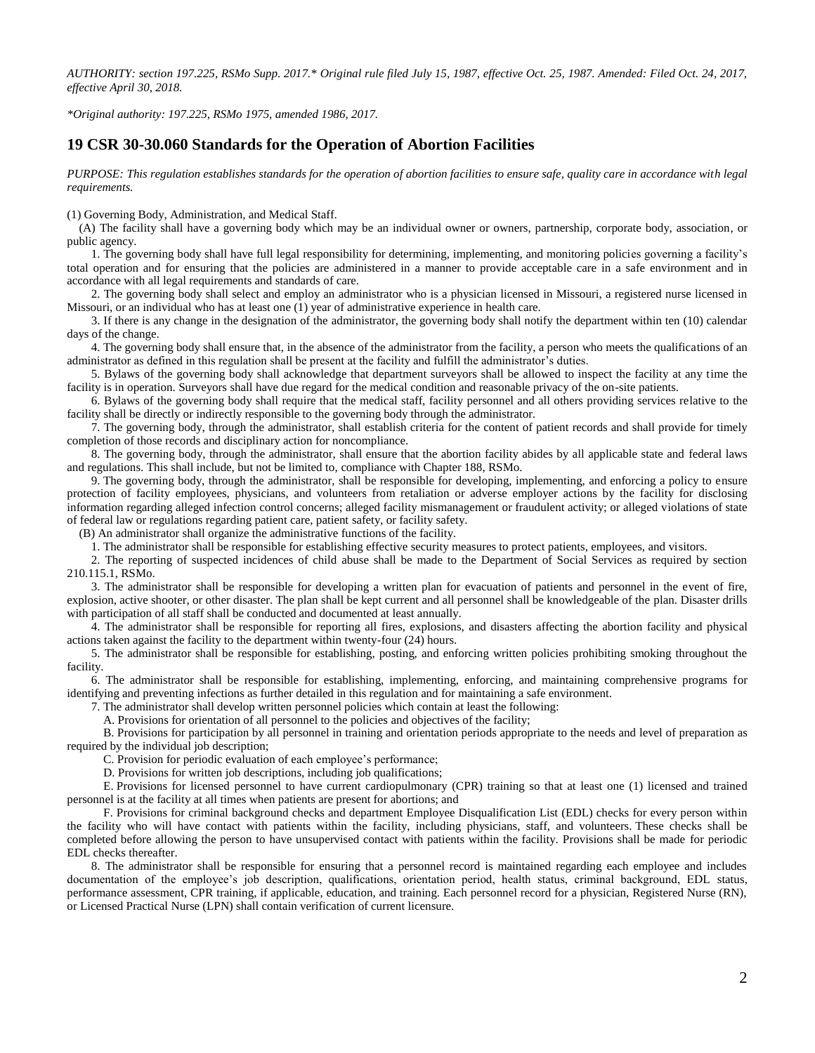*AUTHORITY: section 197.225, RSMo Supp. 2017.\* Original rule filed July 15, 1987, effective Oct. 25, 1987. Amended: Filed Oct. 24, 2017, effective April 30, 2018.*

*\*Original authority: 197.225, RSMo 1975, amended 1986, 2017.*

## **19 CSR 30-30.060 Standards for the Operation of Abortion Facilities**

*PURPOSE: This regulation establishes standards for the operation of abortion facilities to ensure safe, quality care in accordance with legal requirements.* 

(1) Governing Body, Administration, and Medical Staff.

(A) The facility shall have a governing body which may be an individual owner or owners, partnership, corporate body, association, or public agency.

1. The governing body shall have full legal responsibility for determining, implementing, and monitoring policies governing a facility's total operation and for ensuring that the policies are administered in a manner to provide acceptable care in a safe environment and in accordance with all legal requirements and standards of care.

2. The governing body shall select and employ an administrator who is a physician licensed in Missouri, a registered nurse licensed in Missouri, or an individual who has at least one (1) year of administrative experience in health care.

3. If there is any change in the designation of the administrator, the governing body shall notify the department within ten (10) calendar days of the change.

4. The governing body shall ensure that, in the absence of the administrator from the facility, a person who meets the qualifications of an administrator as defined in this regulation shall be present at the facility and fulfill the administrator's duties.

5. Bylaws of the governing body shall acknowledge that department surveyors shall be allowed to inspect the facility at any time the facility is in operation. Surveyors shall have due regard for the medical condition and reasonable privacy of the on-site patients.

6. Bylaws of the governing body shall require that the medical staff, facility personnel and all others providing services relative to the facility shall be directly or indirectly responsible to the governing body through the administrator.

7. The governing body, through the administrator, shall establish criteria for the content of patient records and shall provide for timely completion of those records and disciplinary action for noncompliance.

8. The governing body, through the administrator, shall ensure that the abortion facility abides by all applicable state and federal laws and regulations. This shall include, but not be limited to, compliance with Chapter 188, RSMo.

9. The governing body, through the administrator, shall be responsible for developing, implementing, and enforcing a policy to ensure protection of facility employees, physicians, and volunteers from retaliation or adverse employer actions by the facility for disclosing information regarding alleged infection control concerns; alleged facility mismanagement or fraudulent activity; or alleged violations of state of federal law or regulations regarding patient care, patient safety, or facility safety.

(B) An administrator shall organize the administrative functions of the facility.

1. The administrator shall be responsible for establishing effective security measures to protect patients, employees, and visitors.

2. The reporting of suspected incidences of child abuse shall be made to the Department of Social Services as required by section 210.115.1, RSMo.

3. The administrator shall be responsible for developing a written plan for evacuation of patients and personnel in the event of fire, explosion, active shooter, or other disaster. The plan shall be kept current and all personnel shall be knowledgeable of the plan. Disaster drills with participation of all staff shall be conducted and documented at least annually.

4. The administrator shall be responsible for reporting all fires, explosions, and disasters affecting the abortion facility and physical actions taken against the facility to the department within twenty-four (24) hours.

5. The administrator shall be responsible for establishing, posting, and enforcing written policies prohibiting smoking throughout the facility.

6. The administrator shall be responsible for establishing, implementing, enforcing, and maintaining comprehensive programs for identifying and preventing infections as further detailed in this regulation and for maintaining a safe environment.

7. The administrator shall develop written personnel policies which contain at least the following:

A. Provisions for orientation of all personnel to the policies and objectives of the facility;

B. Provisions for participation by all personnel in training and orientation periods appropriate to the needs and level of preparation as required by the individual job description;

C. Provision for periodic evaluation of each employee's performance;

D. Provisions for written job descriptions, including job qualifications;

E. Provisions for licensed personnel to have current cardiopulmonary (CPR) training so that at least one (1) licensed and trained personnel is at the facility at all times when patients are present for abortions; and

F. Provisions for criminal background checks and department Employee Disqualification List (EDL) checks for every person within the facility who will have contact with patients within the facility, including physicians, staff, and volunteers. These checks shall be completed before allowing the person to have unsupervised contact with patients within the facility. Provisions shall be made for periodic EDL checks thereafter.

8. The administrator shall be responsible for ensuring that a personnel record is maintained regarding each employee and includes documentation of the employee's job description, qualifications, orientation period, health status, criminal background, EDL status, performance assessment, CPR training, if applicable, education, and training. Each personnel record for a physician, Registered Nurse (RN), or Licensed Practical Nurse (LPN) shall contain verification of current licensure.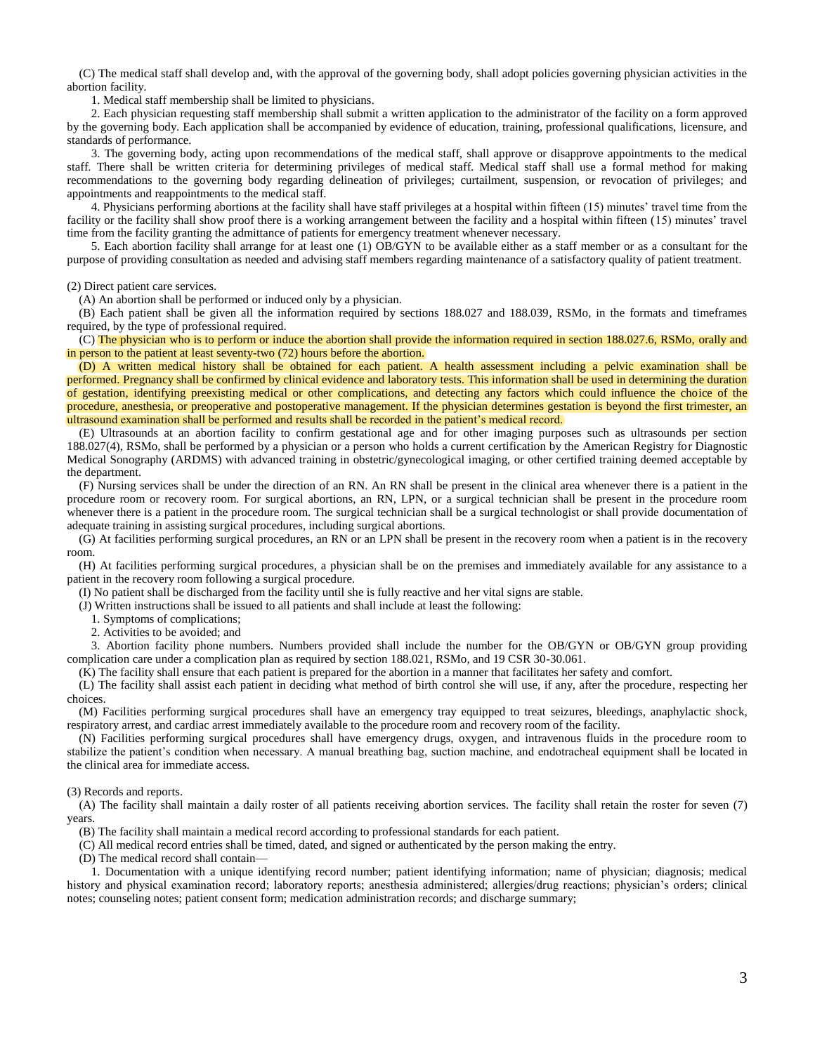(C) The medical staff shall develop and, with the approval of the governing body, shall adopt policies governing physician activities in the abortion facility.

1. Medical staff membership shall be limited to physicians.

2. Each physician requesting staff membership shall submit a written application to the administrator of the facility on a form approved by the governing body. Each application shall be accompanied by evidence of education, training, professional qualifications, licensure, and standards of performance.

3. The governing body, acting upon recommendations of the medical staff, shall approve or disapprove appointments to the medical staff. There shall be written criteria for determining privileges of medical staff. Medical staff shall use a formal method for making recommendations to the governing body regarding delineation of privileges; curtailment, suspension, or revocation of privileges; and appointments and reappointments to the medical staff.

4. Physicians performing abortions at the facility shall have staff privileges at a hospital within fifteen (15) minutes' travel time from the facility or the facility shall show proof there is a working arrangement between the facility and a hospital within fifteen (15) minutes' travel time from the facility granting the admittance of patients for emergency treatment whenever necessary.

5. Each abortion facility shall arrange for at least one (1) OB/GYN to be available either as a staff member or as a consultant for the purpose of providing consultation as needed and advising staff members regarding maintenance of a satisfactory quality of patient treatment.

#### (2) Direct patient care services.

(A) An abortion shall be performed or induced only by a physician.

(B) Each patient shall be given all the information required by sections 188.027 and 188.039, RSMo, in the formats and timeframes required, by the type of professional required.

(C) The physician who is to perform or induce the abortion shall provide the information required in section 188.027.6, RSMo, orally and in person to the patient at least seventy-two (72) hours before the abortion.

(D) A written medical history shall be obtained for each patient. A health assessment including a pelvic examination shall be performed. Pregnancy shall be confirmed by clinical evidence and laboratory tests. This information shall be used in determining the duration of gestation, identifying preexisting medical or other complications, and detecting any factors which could influence the choice of the procedure, anesthesia, or preoperative and postoperative management. If the physician determines gestation is beyond the first trimester, an ultrasound examination shall be performed and results shall be recorded in the patient's medical record.

(E) Ultrasounds at an abortion facility to confirm gestational age and for other imaging purposes such as ultrasounds per section 188.027(4), RSMo, shall be performed by a physician or a person who holds a current certification by the American Registry for Diagnostic Medical Sonography (ARDMS) with advanced training in obstetric/gynecological imaging, or other certified training deemed acceptable by the department.

(F) Nursing services shall be under the direction of an RN. An RN shall be present in the clinical area whenever there is a patient in the procedure room or recovery room. For surgical abortions, an RN, LPN, or a surgical technician shall be present in the procedure room whenever there is a patient in the procedure room. The surgical technician shall be a surgical technologist or shall provide documentation of adequate training in assisting surgical procedures, including surgical abortions.

(G) At facilities performing surgical procedures, an RN or an LPN shall be present in the recovery room when a patient is in the recovery room.

(H) At facilities performing surgical procedures, a physician shall be on the premises and immediately available for any assistance to a patient in the recovery room following a surgical procedure.

(I) No patient shall be discharged from the facility until she is fully reactive and her vital signs are stable.

(J) Written instructions shall be issued to all patients and shall include at least the following:

1. Symptoms of complications;

2. Activities to be avoided; and

3. Abortion facility phone numbers. Numbers provided shall include the number for the OB/GYN or OB/GYN group providing complication care under a complication plan as required by section 188.021, RSMo, and 19 CSR 30-30.061.

(K) The facility shall ensure that each patient is prepared for the abortion in a manner that facilitates her safety and comfort.

(L) The facility shall assist each patient in deciding what method of birth control she will use, if any, after the procedure, respecting her choices.

(M) Facilities performing surgical procedures shall have an emergency tray equipped to treat seizures, bleedings, anaphylactic shock, respiratory arrest, and cardiac arrest immediately available to the procedure room and recovery room of the facility.

(N) Facilities performing surgical procedures shall have emergency drugs, oxygen, and intravenous fluids in the procedure room to stabilize the patient's condition when necessary. A manual breathing bag, suction machine, and endotracheal equipment shall be located in the clinical area for immediate access.

#### (3) Records and reports.

(A) The facility shall maintain a daily roster of all patients receiving abortion services. The facility shall retain the roster for seven (7) years.

(B) The facility shall maintain a medical record according to professional standards for each patient.

(C) All medical record entries shall be timed, dated, and signed or authenticated by the person making the entry.

(D) The medical record shall contain—

1. Documentation with a unique identifying record number; patient identifying information; name of physician; diagnosis; medical history and physical examination record; laboratory reports; anesthesia administered; allergies/drug reactions; physician's orders; clinical notes; counseling notes; patient consent form; medication administration records; and discharge summary;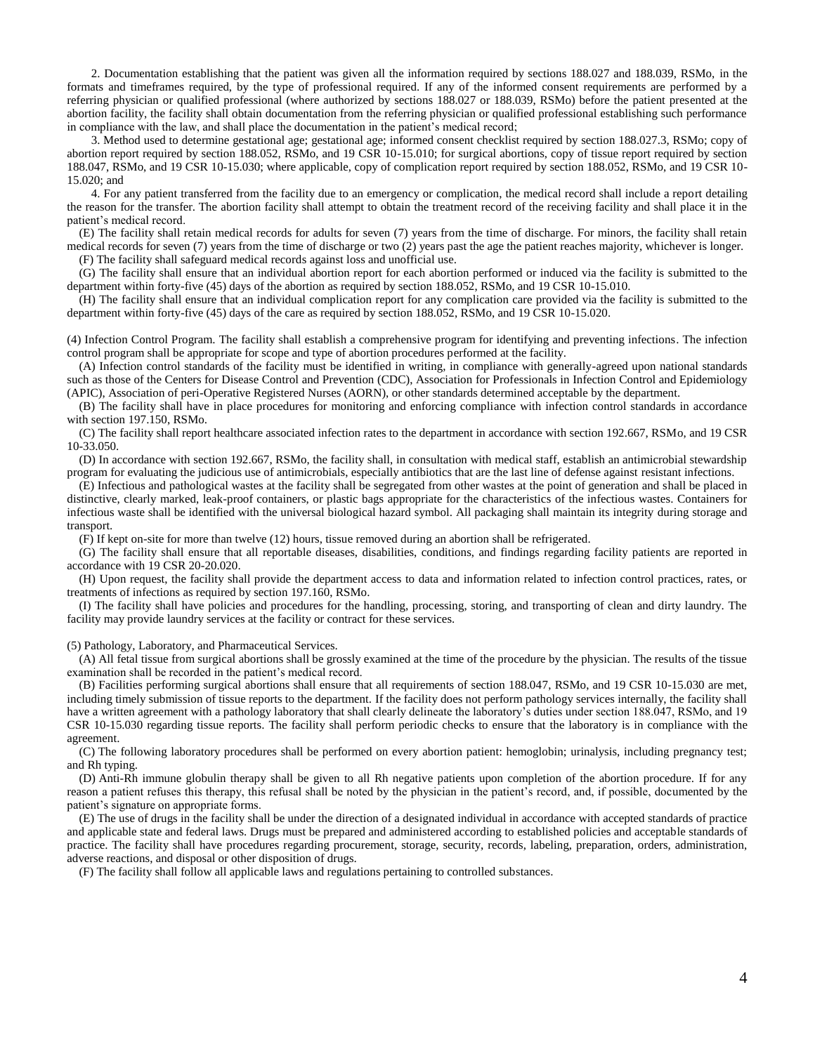2. Documentation establishing that the patient was given all the information required by sections 188.027 and 188.039, RSMo, in the formats and timeframes required, by the type of professional required. If any of the informed consent requirements are performed by a referring physician or qualified professional (where authorized by sections 188.027 or 188.039, RSMo) before the patient presented at the abortion facility, the facility shall obtain documentation from the referring physician or qualified professional establishing such performance in compliance with the law, and shall place the documentation in the patient's medical record;

3. Method used to determine gestational age; gestational age; informed consent checklist required by section 188.027.3, RSMo; copy of abortion report required by section 188.052, RSMo, and 19 CSR 10-15.010; for surgical abortions, copy of tissue report required by section 188.047, RSMo, and 19 CSR 10-15.030; where applicable, copy of complication report required by section 188.052, RSMo, and 19 CSR 10- 15.020; and

4. For any patient transferred from the facility due to an emergency or complication, the medical record shall include a report detailing the reason for the transfer. The abortion facility shall attempt to obtain the treatment record of the receiving facility and shall place it in the patient's medical record.

(E) The facility shall retain medical records for adults for seven (7) years from the time of discharge. For minors, the facility shall retain medical records for seven (7) years from the time of discharge or two (2) years past the age the patient reaches majority, whichever is longer. (F) The facility shall safeguard medical records against loss and unofficial use.

(G) The facility shall ensure that an individual abortion report for each abortion performed or induced via the facility is submitted to the department within forty-five (45) days of the abortion as required by section 188.052, RSMo, and 19 CSR 10-15.010.

(H) The facility shall ensure that an individual complication report for any complication care provided via the facility is submitted to the department within forty-five (45) days of the care as required by section 188.052, RSMo, and 19 CSR 10-15.020.

(4) Infection Control Program. The facility shall establish a comprehensive program for identifying and preventing infections. The infection control program shall be appropriate for scope and type of abortion procedures performed at the facility.

(A) Infection control standards of the facility must be identified in writing, in compliance with generally-agreed upon national standards such as those of the Centers for Disease Control and Prevention (CDC), Association for Professionals in Infection Control and Epidemiology (APIC), Association of peri-Operative Registered Nurses (AORN), or other standards determined acceptable by the department.

(B) The facility shall have in place procedures for monitoring and enforcing compliance with infection control standards in accordance with section 197.150, RSMo.

(C) The facility shall report healthcare associated infection rates to the department in accordance with section 192.667, RSMo, and 19 CSR 10-33.050.

(D) In accordance with section 192.667, RSMo, the facility shall, in consultation with medical staff, establish an antimicrobial stewardship program for evaluating the judicious use of antimicrobials, especially antibiotics that are the last line of defense against resistant infections.

(E) Infectious and pathological wastes at the facility shall be segregated from other wastes at the point of generation and shall be placed in distinctive, clearly marked, leak-proof containers, or plastic bags appropriate for the characteristics of the infectious wastes. Containers for infectious waste shall be identified with the universal biological hazard symbol. All packaging shall maintain its integrity during storage and transport.

(F) If kept on-site for more than twelve (12) hours, tissue removed during an abortion shall be refrigerated.

(G) The facility shall ensure that all reportable diseases, disabilities, conditions, and findings regarding facility patients are reported in accordance with 19 CSR 20-20.020.

(H) Upon request, the facility shall provide the department access to data and information related to infection control practices, rates, or treatments of infections as required by section 197.160, RSMo.

(I) The facility shall have policies and procedures for the handling, processing, storing, and transporting of clean and dirty laundry. The facility may provide laundry services at the facility or contract for these services.

(5) Pathology, Laboratory, and Pharmaceutical Services.

(A) All fetal tissue from surgical abortions shall be grossly examined at the time of the procedure by the physician. The results of the tissue examination shall be recorded in the patient's medical record.

(B) Facilities performing surgical abortions shall ensure that all requirements of section 188.047, RSMo, and 19 CSR 10-15.030 are met, including timely submission of tissue reports to the department. If the facility does not perform pathology services internally, the facility shall have a written agreement with a pathology laboratory that shall clearly delineate the laboratory's duties under section 188.047, RSMo, and 19 CSR 10-15.030 regarding tissue reports. The facility shall perform periodic checks to ensure that the laboratory is in compliance with the agreement.

(C) The following laboratory procedures shall be performed on every abortion patient: hemoglobin; urinalysis, including pregnancy test; and Rh typing.

(D) Anti-Rh immune globulin therapy shall be given to all Rh negative patients upon completion of the abortion procedure. If for any reason a patient refuses this therapy, this refusal shall be noted by the physician in the patient's record, and, if possible, documented by the patient's signature on appropriate forms.

(E) The use of drugs in the facility shall be under the direction of a designated individual in accordance with accepted standards of practice and applicable state and federal laws. Drugs must be prepared and administered according to established policies and acceptable standards of practice. The facility shall have procedures regarding procurement, storage, security, records, labeling, preparation, orders, administration, adverse reactions, and disposal or other disposition of drugs.

(F) The facility shall follow all applicable laws and regulations pertaining to controlled substances.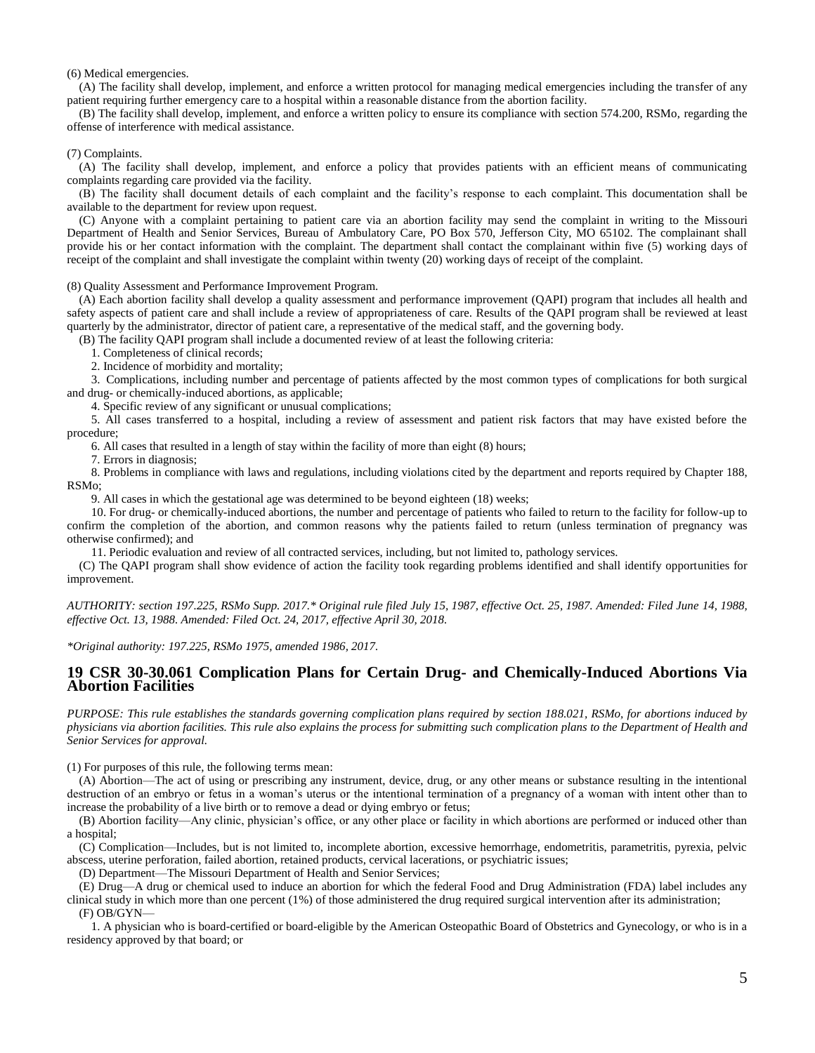(6) Medical emergencies.

(A) The facility shall develop, implement, and enforce a written protocol for managing medical emergencies including the transfer of any patient requiring further emergency care to a hospital within a reasonable distance from the abortion facility.

(B) The facility shall develop, implement, and enforce a written policy to ensure its compliance with section 574.200, RSMo, regarding the offense of interference with medical assistance.

### (7) Complaints.

(A) The facility shall develop, implement, and enforce a policy that provides patients with an efficient means of communicating complaints regarding care provided via the facility.

(B) The facility shall document details of each complaint and the facility's response to each complaint. This documentation shall be available to the department for review upon request.

(C) Anyone with a complaint pertaining to patient care via an abortion facility may send the complaint in writing to the Missouri Department of Health and Senior Services, Bureau of Ambulatory Care, PO Box 570, Jefferson City, MO 65102. The complainant shall provide his or her contact information with the complaint. The department shall contact the complainant within five (5) working days of receipt of the complaint and shall investigate the complaint within twenty (20) working days of receipt of the complaint.

(8) Quality Assessment and Performance Improvement Program.

(A) Each abortion facility shall develop a quality assessment and performance improvement (QAPI) program that includes all health and safety aspects of patient care and shall include a review of appropriateness of care. Results of the QAPI program shall be reviewed at least quarterly by the administrator, director of patient care, a representative of the medical staff, and the governing body.

(B) The facility QAPI program shall include a documented review of at least the following criteria:

1. Completeness of clinical records;

2. Incidence of morbidity and mortality;

3. Complications, including number and percentage of patients affected by the most common types of complications for both surgical and drug- or chemically-induced abortions, as applicable;

4. Specific review of any significant or unusual complications;

5. All cases transferred to a hospital, including a review of assessment and patient risk factors that may have existed before the procedure;

6. All cases that resulted in a length of stay within the facility of more than eight (8) hours;

7. Errors in diagnosis;

8. Problems in compliance with laws and regulations, including violations cited by the department and reports required by Chapter 188, RSMo;

9. All cases in which the gestational age was determined to be beyond eighteen (18) weeks;

10. For drug- or chemically-induced abortions, the number and percentage of patients who failed to return to the facility for follow-up to confirm the completion of the abortion, and common reasons why the patients failed to return (unless termination of pregnancy was otherwise confirmed); and

11. Periodic evaluation and review of all contracted services, including, but not limited to, pathology services.

(C) The QAPI program shall show evidence of action the facility took regarding problems identified and shall identify opportunities for improvement.

*AUTHORITY: section 197.225, RSMo Supp. 2017.\* Original rule filed July 15, 1987, effective Oct. 25, 1987. Amended: Filed June 14, 1988, effective Oct. 13, 1988. Amended: Filed Oct. 24, 2017, effective April 30, 2018.*

*\*Original authority: 197.225, RSMo 1975, amended 1986, 2017.*

### **19 CSR 30-30.061 Complication Plans for Certain Drug- and Chemically-Induced Abortions Via Abortion Facilities**

*PURPOSE: This rule establishes the standards governing complication plans required by section 188.021, RSMo, for abortions induced by physicians via abortion facilities. This rule also explains the process for submitting such complication plans to the Department of Health and Senior Services for approval.*

(1) For purposes of this rule, the following terms mean:

(A) Abortion—The act of using or prescribing any instrument, device, drug, or any other means or substance resulting in the intentional destruction of an embryo or fetus in a woman's uterus or the intentional termination of a pregnancy of a woman with intent other than to increase the probability of a live birth or to remove a dead or dying embryo or fetus;

(B) Abortion facility—Any clinic, physician's office, or any other place or facility in which abortions are performed or induced other than a hospital;

(C) Complication—Includes, but is not limited to, incomplete abortion, excessive hemorrhage, endometritis, parametritis, pyrexia, pelvic abscess, uterine perforation, failed abortion, retained products, cervical lacerations, or psychiatric issues;

(D) Department—The Missouri Department of Health and Senior Services;

(E) Drug—A drug or chemical used to induce an abortion for which the federal Food and Drug Administration (FDA) label includes any clinical study in which more than one percent (1%) of those administered the drug required surgical intervention after its administration; (F) OB/GYN—

1. A physician who is board-certified or board-eligible by the American Osteopathic Board of Obstetrics and Gynecology, or who is in a residency approved by that board; or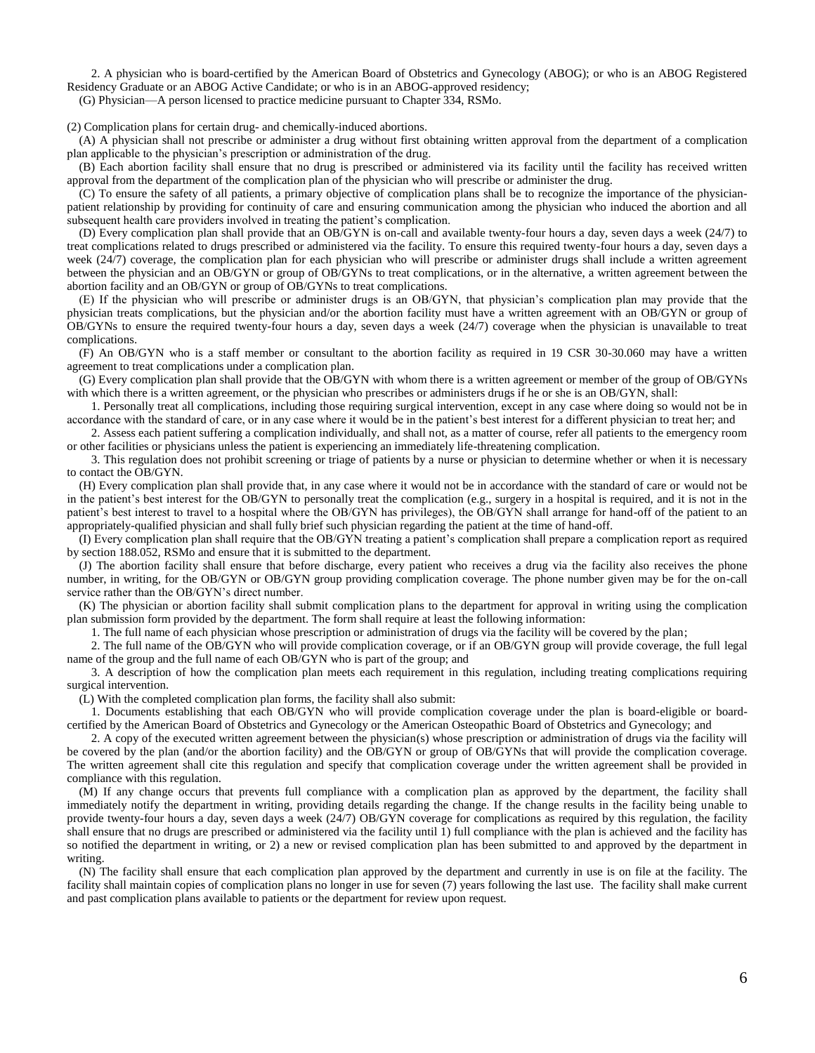2. A physician who is board-certified by the American Board of Obstetrics and Gynecology (ABOG); or who is an ABOG Registered Residency Graduate or an ABOG Active Candidate; or who is in an ABOG-approved residency;

(G) Physician—A person licensed to practice medicine pursuant to Chapter 334, RSMo.

(2) Complication plans for certain drug- and chemically-induced abortions.

(A) A physician shall not prescribe or administer a drug without first obtaining written approval from the department of a complication plan applicable to the physician's prescription or administration of the drug.

(B) Each abortion facility shall ensure that no drug is prescribed or administered via its facility until the facility has received written approval from the department of the complication plan of the physician who will prescribe or administer the drug.

(C) To ensure the safety of all patients, a primary objective of complication plans shall be to recognize the importance of the physicianpatient relationship by providing for continuity of care and ensuring communication among the physician who induced the abortion and all subsequent health care providers involved in treating the patient's complication.

(D) Every complication plan shall provide that an OB/GYN is on-call and available twenty-four hours a day, seven days a week (24/7) to treat complications related to drugs prescribed or administered via the facility. To ensure this required twenty-four hours a day, seven days a week (24/7) coverage, the complication plan for each physician who will prescribe or administer drugs shall include a written agreement between the physician and an OB/GYN or group of OB/GYNs to treat complications, or in the alternative, a written agreement between the abortion facility and an OB/GYN or group of OB/GYNs to treat complications.

(E) If the physician who will prescribe or administer drugs is an OB/GYN, that physician's complication plan may provide that the physician treats complications, but the physician and/or the abortion facility must have a written agreement with an OB/GYN or group of OB/GYNs to ensure the required twenty-four hours a day, seven days a week (24/7) coverage when the physician is unavailable to treat complications.

(F) An OB/GYN who is a staff member or consultant to the abortion facility as required in 19 CSR 30-30.060 may have a written agreement to treat complications under a complication plan.

(G) Every complication plan shall provide that the OB/GYN with whom there is a written agreement or member of the group of OB/GYNs with which there is a written agreement, or the physician who prescribes or administers drugs if he or she is an OB/GYN, shall:

1. Personally treat all complications, including those requiring surgical intervention, except in any case where doing so would not be in accordance with the standard of care, or in any case where it would be in the patient's best interest for a different physician to treat her; and

2. Assess each patient suffering a complication individually, and shall not, as a matter of course, refer all patients to the emergency room or other facilities or physicians unless the patient is experiencing an immediately life-threatening complication.

3. This regulation does not prohibit screening or triage of patients by a nurse or physician to determine whether or when it is necessary to contact the OB/GYN.

(H) Every complication plan shall provide that, in any case where it would not be in accordance with the standard of care or would not be in the patient's best interest for the OB/GYN to personally treat the complication (e.g., surgery in a hospital is required, and it is not in the patient's best interest to travel to a hospital where the OB/GYN has privileges), the OB/GYN shall arrange for hand-off of the patient to an appropriately-qualified physician and shall fully brief such physician regarding the patient at the time of hand-off.

(I) Every complication plan shall require that the OB/GYN treating a patient's complication shall prepare a complication report as required by section 188.052, RSMo and ensure that it is submitted to the department.

(J) The abortion facility shall ensure that before discharge, every patient who receives a drug via the facility also receives the phone number, in writing, for the OB/GYN or OB/GYN group providing complication coverage. The phone number given may be for the on-call service rather than the OB/GYN's direct number.

(K) The physician or abortion facility shall submit complication plans to the department for approval in writing using the complication plan submission form provided by the department. The form shall require at least the following information:

1. The full name of each physician whose prescription or administration of drugs via the facility will be covered by the plan;

2. The full name of the OB/GYN who will provide complication coverage, or if an OB/GYN group will provide coverage, the full legal name of the group and the full name of each OB/GYN who is part of the group; and

3. A description of how the complication plan meets each requirement in this regulation, including treating complications requiring surgical intervention.

(L) With the completed complication plan forms, the facility shall also submit:

1. Documents establishing that each OB/GYN who will provide complication coverage under the plan is board-eligible or boardcertified by the American Board of Obstetrics and Gynecology or the American Osteopathic Board of Obstetrics and Gynecology; and

2. A copy of the executed written agreement between the physician(s) whose prescription or administration of drugs via the facility will be covered by the plan (and/or the abortion facility) and the OB/GYN or group of OB/GYNs that will provide the complication coverage. The written agreement shall cite this regulation and specify that complication coverage under the written agreement shall be provided in compliance with this regulation.

(M) If any change occurs that prevents full compliance with a complication plan as approved by the department, the facility shall immediately notify the department in writing, providing details regarding the change. If the change results in the facility being unable to provide twenty-four hours a day, seven days a week (24/7) OB/GYN coverage for complications as required by this regulation, the facility shall ensure that no drugs are prescribed or administered via the facility until 1) full compliance with the plan is achieved and the facility has so notified the department in writing, or 2) a new or revised complication plan has been submitted to and approved by the department in writing.

(N) The facility shall ensure that each complication plan approved by the department and currently in use is on file at the facility. The facility shall maintain copies of complication plans no longer in use for seven (7) years following the last use. The facility shall make current and past complication plans available to patients or the department for review upon request.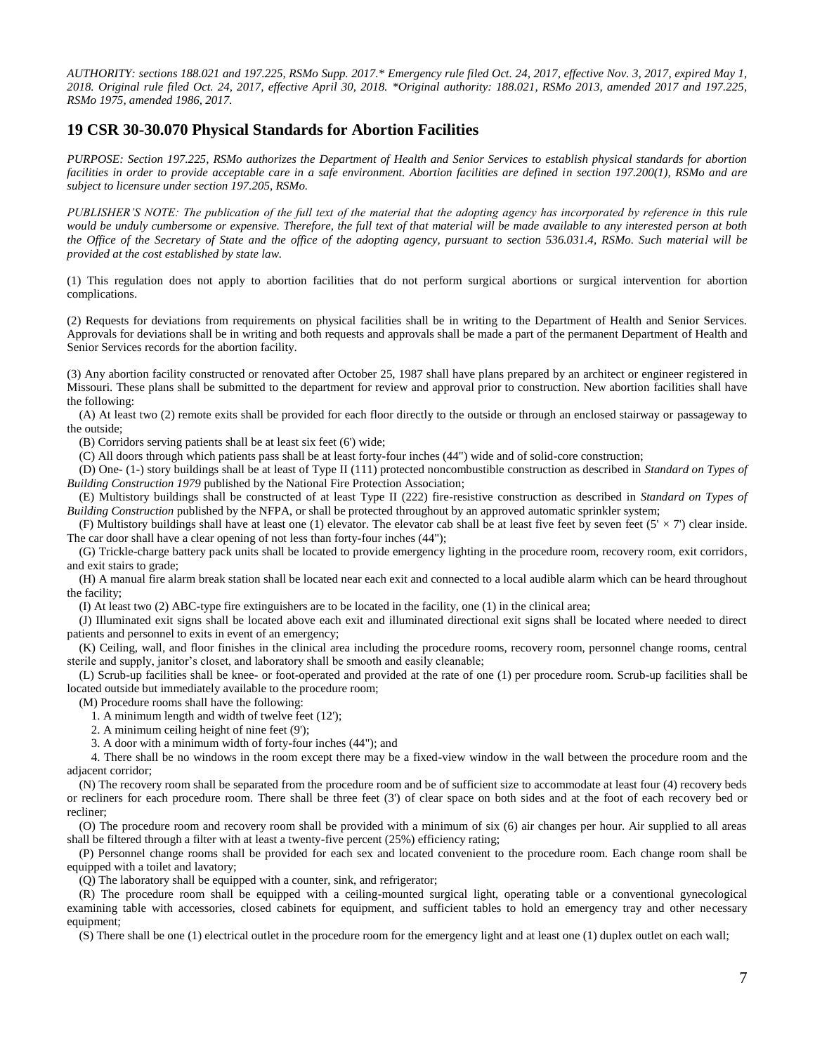*AUTHORITY: sections 188.021 and 197.225, RSMo Supp. 2017.\* Emergency rule filed Oct. 24, 2017, effective Nov. 3, 2017, expired May 1, 2018. Original rule filed Oct. 24, 2017, effective April 30, 2018. \*Original authority: 188.021, RSMo 2013, amended 2017 and 197.225, RSMo 1975, amended 1986, 2017.*

## **19 CSR 30-30.070 Physical Standards for Abortion Facilities**

*PURPOSE: Section 197.225, RSMo authorizes the Department of Health and Senior Services to establish physical standards for abortion facilities in order to provide acceptable care in a safe environment. Abortion facilities are defined in section 197.200(1), RSMo and are subject to licensure under section 197.205, RSMo.*

*PUBLISHER'S NOTE: The publication of the full text of the material that the adopting agency has incorporated by reference in this rule would be unduly cumbersome or expensive. Therefore, the full text of that material will be made available to any interested person at both the Office of the Secretary of State and the office of the adopting agency, pursuant to section 536.031.4, RSMo. Such material will be provided at the cost established by state law.*

(1) This regulation does not apply to abortion facilities that do not perform surgical abortions or surgical intervention for abortion complications.

(2) Requests for deviations from requirements on physical facilities shall be in writing to the Department of Health and Senior Services. Approvals for deviations shall be in writing and both requests and approvals shall be made a part of the permanent Department of Health and Senior Services records for the abortion facility.

(3) Any abortion facility constructed or renovated after October 25, 1987 shall have plans prepared by an architect or engineer registered in Missouri. These plans shall be submitted to the department for review and approval prior to construction. New abortion facilities shall have the following:

(A) At least two (2) remote exits shall be provided for each floor directly to the outside or through an enclosed stairway or passageway to the outside;

(B) Corridors serving patients shall be at least six feet (6') wide;

(C) All doors through which patients pass shall be at least forty-four inches (44") wide and of solid-core construction;

(D) One- (1-) story buildings shall be at least of Type II (111) protected noncombustible construction as described in *Standard on Types of Building Construction 1979* published by the National Fire Protection Association;

(E) Multistory buildings shall be constructed of at least Type II (222) fire-resistive construction as described in *Standard on Types of Building Construction* published by the NFPA, or shall be protected throughout by an approved automatic sprinkler system;

(F) Multistory buildings shall have at least one (1) elevator. The elevator cab shall be at least five feet by seven feet (5'  $\times$  7') clear inside. The car door shall have a clear opening of not less than forty-four inches (44");

(G) Trickle-charge battery pack units shall be located to provide emergency lighting in the procedure room, recovery room, exit corridors, and exit stairs to grade;

(H) A manual fire alarm break station shall be located near each exit and connected to a local audible alarm which can be heard throughout the facility;

(I) At least two (2) ABC-type fire extinguishers are to be located in the facility, one (1) in the clinical area;

(J) Illuminated exit signs shall be located above each exit and illuminated directional exit signs shall be located where needed to direct patients and personnel to exits in event of an emergency;

(K) Ceiling, wall, and floor finishes in the clinical area including the procedure rooms, recovery room, personnel change rooms, central sterile and supply, janitor's closet, and laboratory shall be smooth and easily cleanable;

(L) Scrub-up facilities shall be knee- or foot-operated and provided at the rate of one (1) per procedure room. Scrub-up facilities shall be located outside but immediately available to the procedure room;

(M) Procedure rooms shall have the following:

1. A minimum length and width of twelve feet (12');

- 2. A minimum ceiling height of nine feet (9');
- 3. A door with a minimum width of forty-four inches (44"); and

4. There shall be no windows in the room except there may be a fixed-view window in the wall between the procedure room and the adjacent corridor;

(N) The recovery room shall be separated from the procedure room and be of sufficient size to accommodate at least four (4) recovery beds or recliners for each procedure room. There shall be three feet (3') of clear space on both sides and at the foot of each recovery bed or recliner;

(O) The procedure room and recovery room shall be provided with a minimum of six (6) air changes per hour. Air supplied to all areas shall be filtered through a filter with at least a twenty-five percent (25%) efficiency rating;

(P) Personnel change rooms shall be provided for each sex and located convenient to the procedure room. Each change room shall be equipped with a toilet and lavatory;

(Q) The laboratory shall be equipped with a counter, sink, and refrigerator;

(R) The procedure room shall be equipped with a ceiling-mounted surgical light, operating table or a conventional gynecological examining table with accessories, closed cabinets for equipment, and sufficient tables to hold an emergency tray and other necessary equipment;

(S) There shall be one (1) electrical outlet in the procedure room for the emergency light and at least one (1) duplex outlet on each wall;